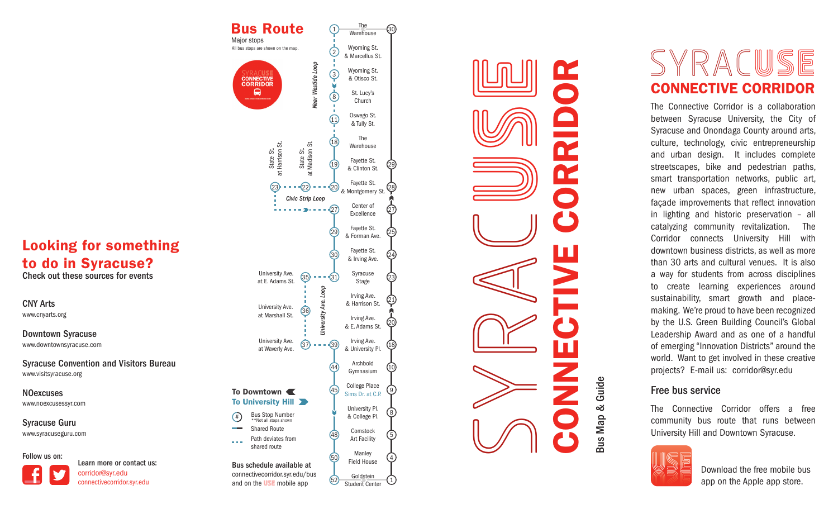## Looking for something to do in Syracuse?

Check out these sources for events

CNY Arts www.cnyarts.org

Downtown Syracuse www.downtownsyracuse.com

Syracuse Convention and Visitors Bureau www.visitsyracuse.org

www.noexcusessyr.com NOexcuses

Syracuse Guru www.syracuseguru.com

#### Follow us on:

Learn more or contact us: corridor@syr.edu connectivecorridor.syr.edu

The Bus Route  $1 - 2 - 3 - 3 - 8 - 3 - 11$ 30 **Warehouse** Major stops All bus stops are shown on the map. Wyoming St.  $\overline{c}$  $2 - 1$   $3 - 8 - 1$   $1$   $- 1$   $1$ & Marcellus St. *Near Westide Loop* Wyoming St.  $\bigcirc$  $3 - 1$ <br> $8 - 1$ <br> $11 - 18$ <br> $19$ **CONNECTIVE**<br>CORRIDOR & Otisco St. ◒ St. Lucy's 23 22 208 Church Oswego St. & Tully St. The at Harrison St. at Madison St. Warehouse State St.<br>at Harrison S State St.<br>Madison Fayette St. 29 & Clinton St. Fayette St.  $(28)$ & Montgomery St. *Civic Strip Loop*Center of  $- - 27$ 27 Excellence Fayette St. 29 25 & Forman Ave. Fayette St. 30 24 & Irving Ave. University Ave. Syracuse  $(35)$   $(31)$ 23 at E. Adams St. Stage loon *University Ave. Loop* Irving Ave. (21) University Ave. & Harrison St. University Ave. 36 at Marshall St. Irving Ave. 20 & E. Adams St. University Ave. Irving Ave.  $(37)$   $(39)$ 18 at Waverly Ave. & University Pl. Archbold 44 10 Gymnasium College Place  $(45)$ (၅)  $\prod_{5}^{9}$  $\prod_{4}^{9}$  $\prod_{1}^{9}$ To Downtown Sims Dr. at C.P. To University Hill **D** University Pl.  $\left(8\right)$ **Bus Stop Number** & College Pl. \*\*Not all stops shown Shared Route Comstock 48 Path deviates from Art Facility shared route Manley 50 Field House Bus schedule available at connectivecorridor.syr.edu/bus Goldstein  $<sup>(52)</sup>$ </sup> and on the **USE** mobile app Student Center



# SYRA C**USE** CONNECTIVE CORRIDOR

The Connective Corridor is a collaboration between Syracuse University, the City of Syracuse and Onondaga County around arts, culture, technology, civic entrepreneurship and urban design. It includes complete streetscapes, bike and pedestrian paths, smart transportation networks, public art, new urban spaces, green infrastructure, façade improvements that reflect innovation in lighting and historic preservation – all catalyzing community revitalization. The Corridor connects University Hill with downtown business districts, as well as more than 30 arts and cultural venues. It is also a way for students from across disciplines to create learning experiences around sustainability, smart growth and placemaking. We're proud to have been recognized by the U.S. Green Building Council's Global Leadership Award and as one of a handful of emerging "Innovation Districts" around the world. Want to get involved in these creative projects? E-mail us: corridor@syr.edu

### Free bus service

The Connective Corridor offers a free community bus route that runs between University Hill and Downtown Syracuse.



Download the free mobile bus app on the Apple app store.